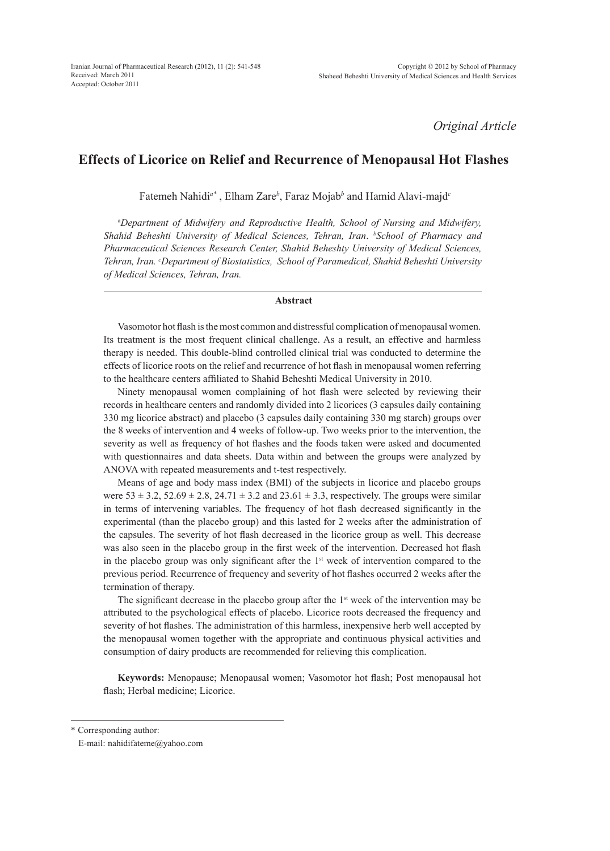*Original Article*

# **Effects of Licorice on Relief and Recurrence of Menopausal Hot Flashes**

Fatemeh Nahidi*a\** , Elham Zare*<sup>b</sup>* , Faraz Mojab*<sup>b</sup>* and Hamid Alavi-majd*<sup>c</sup>*

a *Department of Midwifery and Reproductive Health, School of Nursing and Midwifery, Shahid Beheshti University of Medical Sciences, Tehran, Iran*. *<sup>b</sup> School of Pharmacy and Pharmaceutical Sciences Research Center, Shahid Beheshty University of Medical Sciences, Tehran, Iran. c Department of Biostatistics, School of Paramedical, Shahid Beheshti University of Medical Sciences, Tehran, Iran.*

### **Abstract**

Vasomotor hot flash is the most common and distressful complication of menopausal women. Its treatment is the most frequent clinical challenge. As a result, an effective and harmless therapy is needed. This double-blind controlled clinical trial was conducted to determine the effects of licorice roots on the relief and recurrence of hot flash in menopausal women referring to the healthcare centers affiliated to Shahid Beheshti Medical University in 2010.

Ninety menopausal women complaining of hot flash were selected by reviewing their records in healthcare centers and randomly divided into 2 licorices (3 capsules daily containing 330 mg licorice abstract) and placebo (3 capsules daily containing 330 mg starch) groups over the 8 weeks of intervention and 4 weeks of follow-up. Two weeks prior to the intervention, the severity as well as frequency of hot flashes and the foods taken were asked and documented with questionnaires and data sheets. Data within and between the groups were analyzed by ANOVA with repeated measurements and t-test respectively.

Means of age and body mass index (BMI) of the subjects in licorice and placebo groups were  $53 \pm 3.2$ ,  $52.69 \pm 2.8$ ,  $24.71 \pm 3.2$  and  $23.61 \pm 3.3$ , respectively. The groups were similar in terms of intervening variables. The frequency of hot flash decreased significantly in the experimental (than the placebo group) and this lasted for 2 weeks after the administration of the capsules. The severity of hot flash decreased in the licorice group as well. This decrease was also seen in the placebo group in the first week of the intervention. Decreased hot flash in the placebo group was only significant after the  $1<sup>st</sup>$  week of intervention compared to the previous period. Recurrence of frequency and severity of hot flashes occurred 2 weeks after the termination of therapy.

The significant decrease in the placebo group after the  $1<sup>st</sup>$  week of the intervention may be attributed to the psychological effects of placebo. Licorice roots decreased the frequency and severity of hot flashes. The administration of this harmless, inexpensive herb well accepted by the menopausal women together with the appropriate and continuous physical activities and consumption of dairy products are recommended for relieving this complication.

**Keywords:** Menopause; Menopausal women; Vasomotor hot flash; Post menopausal hot flash; Herbal medicine; Licorice.

<sup>\*</sup> Corresponding author:

E-mail: nahidifateme@yahoo.com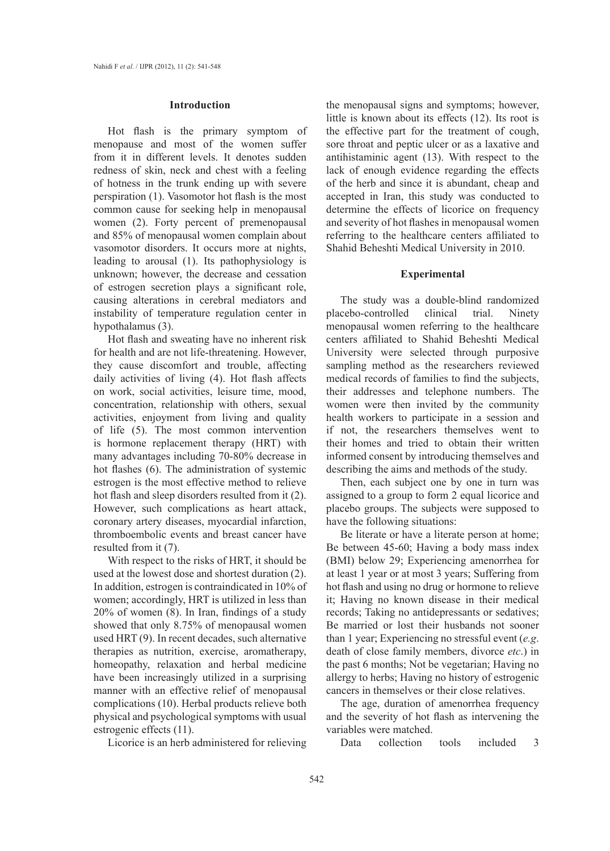### **Introduction**

Hot flash is the primary symptom of menopause and most of the women suffer from it in different levels. It denotes sudden redness of skin, neck and chest with a feeling of hotness in the trunk ending up with severe perspiration (1). Vasomotor hot flash is the most common cause for seeking help in menopausal women (2). Forty percent of premenopausal and 85% of menopausal women complain about vasomotor disorders. It occurs more at nights, leading to arousal (1). Its pathophysiology is unknown; however, the decrease and cessation of estrogen secretion plays a significant role, causing alterations in cerebral mediators and instability of temperature regulation center in hypothalamus (3).

Hot flash and sweating have no inherent risk for health and are not life-threatening. However, they cause discomfort and trouble, affecting daily activities of living (4). Hot flash affects on work, social activities, leisure time, mood, concentration, relationship with others, sexual activities, enjoyment from living and quality of life (5). The most common intervention is hormone replacement therapy (HRT) with many advantages including 70-80% decrease in hot flashes (6). The administration of systemic estrogen is the most effective method to relieve hot flash and sleep disorders resulted from it (2). However, such complications as heart attack, coronary artery diseases, myocardial infarction, thromboembolic events and breast cancer have resulted from it (7).

With respect to the risks of HRT, it should be used at the lowest dose and shortest duration (2). In addition, estrogen is contraindicated in 10% of women; accordingly, HRT is utilized in less than 20% of women (8). In Iran, findings of a study showed that only 8.75% of menopausal women used HRT (9). In recent decades, such alternative therapies as nutrition, exercise, aromatherapy, homeopathy, relaxation and herbal medicine have been increasingly utilized in a surprising manner with an effective relief of menopausal complications (10). Herbal products relieve both physical and psychological symptoms with usual estrogenic effects (11).

Licorice is an herb administered for relieving

the menopausal signs and symptoms; however, little is known about its effects (12). Its root is the effective part for the treatment of cough, sore throat and peptic ulcer or as a laxative and antihistaminic agent (13). With respect to the lack of enough evidence regarding the effects of the herb and since it is abundant, cheap and accepted in Iran, this study was conducted to determine the effects of licorice on frequency and severity of hot flashes in menopausal women referring to the healthcare centers affiliated to Shahid Beheshti Medical University in 2010.

#### **Experimental**

The study was a double-blind randomized placebo-controlled clinical trial. Ninety menopausal women referring to the healthcare centers affiliated to Shahid Beheshti Medical University were selected through purposive sampling method as the researchers reviewed medical records of families to find the subjects, their addresses and telephone numbers. The women were then invited by the community health workers to participate in a session and if not, the researchers themselves went to their homes and tried to obtain their written informed consent by introducing themselves and describing the aims and methods of the study.

Then, each subject one by one in turn was assigned to a group to form 2 equal licorice and placebo groups. The subjects were supposed to have the following situations:

Be literate or have a literate person at home; Be between 45-60; Having a body mass index (BMI) below 29; Experiencing amenorrhea for at least 1 year or at most 3 years; Suffering from hot flash and using no drug or hormone to relieve it; Having no known disease in their medical records; Taking no antidepressants or sedatives; Be married or lost their husbands not sooner than 1 year; Experiencing no stressful event (*e.g*. death of close family members, divorce *etc*.) in the past 6 months; Not be vegetarian; Having no allergy to herbs; Having no history of estrogenic cancers in themselves or their close relatives.

The age, duration of amenorrhea frequency and the severity of hot flash as intervening the variables were matched.

Data collection tools included 3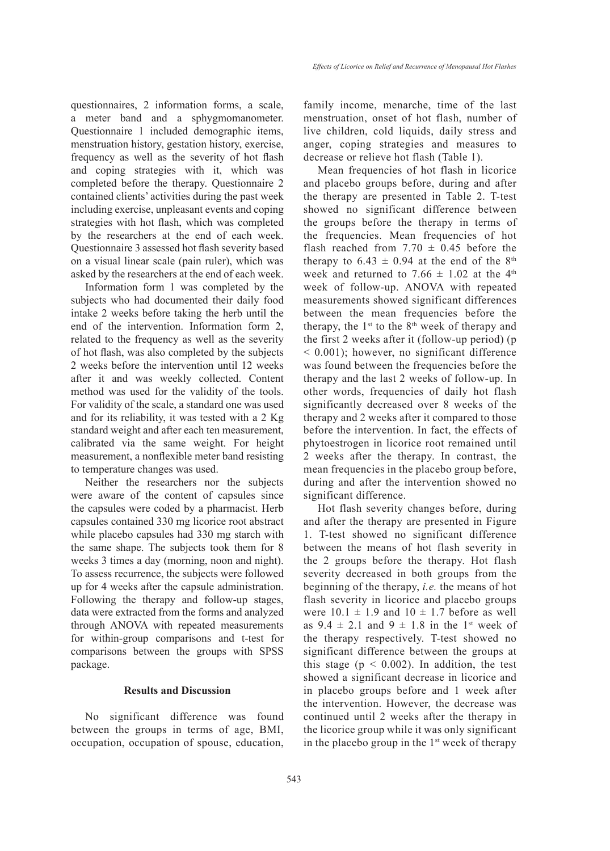questionnaires, 2 information forms, a scale, a meter band and a sphygmomanometer. Questionnaire 1 included demographic items, menstruation history, gestation history, exercise, frequency as well as the severity of hot flash and coping strategies with it, which was completed before the therapy. Questionnaire 2 contained clients' activities during the past week including exercise, unpleasant events and coping strategies with hot flash, which was completed by the researchers at the end of each week. Questionnaire 3 assessed hot flash severity based on a visual linear scale (pain ruler), which was asked by the researchers at the end of each week.

Information form 1 was completed by the subjects who had documented their daily food intake 2 weeks before taking the herb until the end of the intervention. Information form 2, related to the frequency as well as the severity of hot flash, was also completed by the subjects 2 weeks before the intervention until 12 weeks after it and was weekly collected. Content method was used for the validity of the tools. For validity of the scale, a standard one was used and for its reliability, it was tested with a 2 Kg standard weight and after each ten measurement, calibrated via the same weight. For height measurement, a nonflexible meter band resisting to temperature changes was used.

Neither the researchers nor the subjects were aware of the content of capsules since the capsules were coded by a pharmacist. Herb capsules contained 330 mg licorice root abstract while placebo capsules had 330 mg starch with the same shape. The subjects took them for 8 weeks 3 times a day (morning, noon and night). To assess recurrence, the subjects were followed up for 4 weeks after the capsule administration. Following the therapy and follow-up stages, data were extracted from the forms and analyzed through ANOVA with repeated measurements for within-group comparisons and t-test for comparisons between the groups with SPSS package.

# **Results and Discussion**

No significant difference was found between the groups in terms of age, BMI, occupation, occupation of spouse, education, family income, menarche, time of the last menstruation, onset of hot flash, number of live children, cold liquids, daily stress and anger, coping strategies and measures to decrease or relieve hot flash (Table 1).

Mean frequencies of hot flash in licorice and placebo groups before, during and after the therapy are presented in Table 2. T-test showed no significant difference between the groups before the therapy in terms of the frequencies. Mean frequencies of hot flash reached from  $7.70 \pm 0.45$  before the therapy to  $6.43 \pm 0.94$  at the end of the 8<sup>th</sup> week and returned to 7.66  $\pm$  1.02 at the 4<sup>th</sup> week of follow-up. ANOVA with repeated measurements showed significant differences between the mean frequencies before the therapy, the  $1<sup>st</sup>$  to the  $8<sup>th</sup>$  week of therapy and the first 2 weeks after it (follow-up period) (p < 0.001); however, no significant difference was found between the frequencies before the therapy and the last 2 weeks of follow-up. In other words, frequencies of daily hot flash significantly decreased over 8 weeks of the therapy and 2 weeks after it compared to those before the intervention. In fact, the effects of phytoestrogen in licorice root remained until 2 weeks after the therapy. In contrast, the mean frequencies in the placebo group before, during and after the intervention showed no significant difference.

Hot flash severity changes before, during and after the therapy are presented in Figure 1. T-test showed no significant difference between the means of hot flash severity in the 2 groups before the therapy. Hot flash severity decreased in both groups from the beginning of the therapy, *i.e.* the means of hot flash severity in licorice and placebo groups were  $10.1 \pm 1.9$  and  $10 \pm 1.7$  before as well as  $9.4 \pm 2.1$  and  $9 \pm 1.8$  in the 1<sup>st</sup> week of the therapy respectively. T-test showed no significant difference between the groups at this stage ( $p < 0.002$ ). In addition, the test showed a significant decrease in licorice and in placebo groups before and 1 week after the intervention. However, the decrease was continued until 2 weeks after the therapy in the licorice group while it was only significant in the placebo group in the  $1<sup>st</sup>$  week of therapy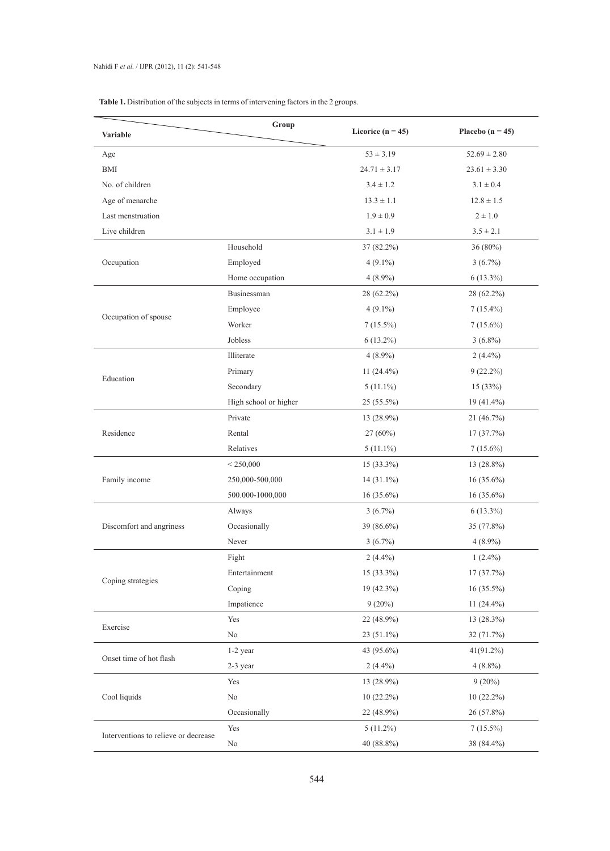| <b>Table 1.</b> Distribution of the subjects in terms of intervening factors in the 2 groups. |  |  |  |
|-----------------------------------------------------------------------------------------------|--|--|--|
|-----------------------------------------------------------------------------------------------|--|--|--|

| <b>Variable</b>                      | Group                 | Licorice ( $n = 45$ ) | Placebo ( $n = 45$ ) |
|--------------------------------------|-----------------------|-----------------------|----------------------|
| Age                                  |                       | $53 \pm 3.19$         | $52.69 \pm 2.80$     |
| <b>BMI</b>                           |                       | $24.71 \pm 3.17$      | $23.61 \pm 3.30$     |
| No. of children                      |                       | $3.4 \pm 1.2$         | $3.1 \pm 0.4$        |
| Age of menarche                      |                       | $13.3 \pm 1.1$        | $12.8 \pm 1.5$       |
| Last menstruation                    |                       | $1.9\pm0.9$           | $2 \pm 1.0$          |
| Live children                        |                       | $3.1 \pm 1.9$         | $3.5 \pm 2.1$        |
|                                      | Household             | 37 (82.2%)            | 36 (80%)             |
| Occupation                           | Employed              | $4(9.1\%)$            | $3(6.7\%)$           |
|                                      | Home occupation       | $4(8.9\%)$            | $6(13.3\%)$          |
|                                      | Businessman           | 28 (62.2%)            | 28 (62.2%)           |
|                                      | Employee              | $4(9.1\%)$            | $7(15.4\%)$          |
| Occupation of spouse                 | Worker                | $7(15.5\%)$           | $7(15.6\%)$          |
|                                      | Jobless               | $6(13.2\%)$           | $3(6.8\%)$           |
|                                      | Illiterate            | $4(8.9\%)$            | $2(4.4\%)$           |
|                                      | Primary               | 11 $(24.4\%)$         | $9(22.2\%)$          |
| Education                            | Secondary             | $5(11.1\%)$           | 15(33%)              |
|                                      | High school or higher | $25(55.5\%)$          | 19 (41.4%)           |
|                                      | Private               | 13 (28.9%)            | 21 (46.7%)           |
| Residence                            | Rental                | 27 (60%)              | 17(37.7%)            |
|                                      | Relatives             | $5(11.1\%)$           | $7(15.6\%)$          |
|                                      | < 250,000             | $15(33.3\%)$          | $13(28.8\%)$         |
| Family income                        | 250,000-500,000       | $14(31.1\%)$          | $16(35.6\%)$         |
|                                      | 500.000-1000,000      | $16(35.6\%)$          | $16(35.6\%)$         |
|                                      | Always                | $3(6.7\%)$            | $6(13.3\%)$          |
| Discomfort and angriness             | Occasionally          | 39 (86.6%)            | 35 (77.8%)           |
|                                      | Never                 | $3(6.7\%)$            | $4(8.9\%)$           |
|                                      | Fight                 | $2(4.4\%)$            | $1(2.4\%)$           |
|                                      | Entertainment         | 15 (33.3%)            | 17 (37.7%)           |
| Coping strategies                    | Coping                | 19 (42.3%)            | 16 (35.5%)           |
|                                      | Impatience            | $9(20\%)$             | 11 (24.4%)           |
|                                      | Yes                   | 22 (48.9%)            | 13 (28.3%)           |
| Exercise                             | $\rm No$              | 23 (51.1%)            | 32 (71.7%)           |
|                                      | 1-2 year              | 43 (95.6%)            | $41(91.2\%)$         |
| Onset time of hot flash              | 2-3 year              | $2(4.4\%)$            | $4(8.8\%)$           |
|                                      | Yes                   | 13 (28.9%)            | $9(20\%)$            |
| Cool liquids                         | $\rm No$              | $10(22.2\%)$          | $10(22.2\%)$         |
|                                      | Occasionally          | 22 (48.9%)            | 26 (57.8%)           |
|                                      | Yes                   | $5(11.2\%)$           | $7(15.5\%)$          |
| Interventions to relieve or decrease | No                    | 40 (88.8%)            | 38 (84.4%)           |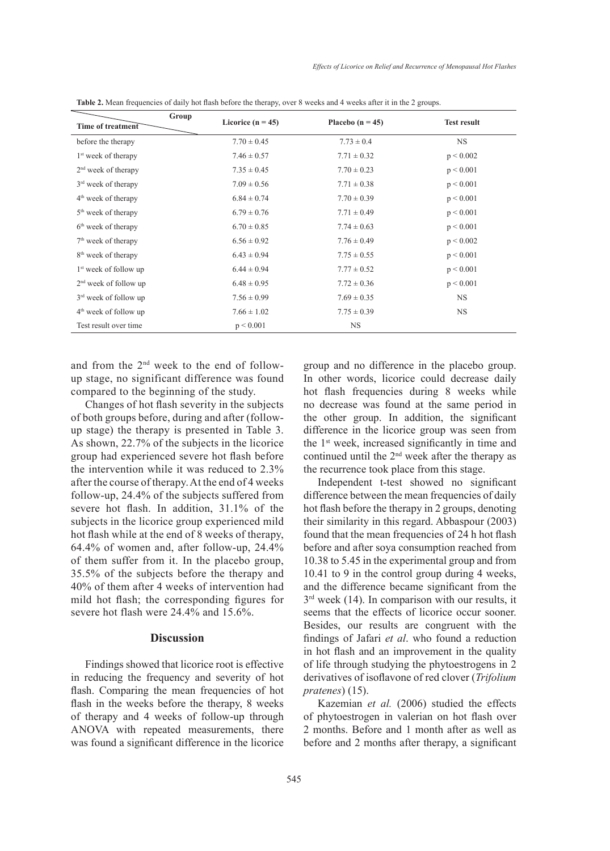| Time of treatment               | Group<br>Licorice ( $n = 45$ ) | Placebo $(n = 45)$ | <b>Test result</b> |
|---------------------------------|--------------------------------|--------------------|--------------------|
| before the therapy              | $7.70 \pm 0.45$                | $7.73 \pm 0.4$     | <b>NS</b>          |
| 1 <sup>st</sup> week of therapy | $7.46 \pm 0.57$                | $7.71 \pm 0.32$    | p < 0.002          |
| $2nd$ week of therapy           | $7.35 \pm 0.45$                | $7.70 \pm 0.23$    | p < 0.001          |
| $3rd$ week of therapy           | $7.09 \pm 0.56$                | $7.71 \pm 0.38$    | p < 0.001          |
| $4th$ week of therapy           | $6.84 \pm 0.74$                | $7.70 \pm 0.39$    | p < 0.001          |
| 5 <sup>th</sup> week of therapy | $6.79 \pm 0.76$                | $7.71 \pm 0.49$    | p < 0.001          |
| 6 <sup>th</sup> week of therapy | $6.70 \pm 0.85$                | $7.74 \pm 0.63$    | p < 0.001          |
| $7th$ week of therapy           | $6.56 \pm 0.92$                | $7.76 \pm 0.49$    | p < 0.002          |
| 8 <sup>th</sup> week of therapy | $6.43 \pm 0.94$                | $7.75 \pm 0.55$    | p < 0.001          |
| $1st$ week of follow up         | $6.44 \pm 0.94$                | $7.77 \pm 0.52$    | p < 0.001          |
| $2nd$ week of follow up         | $6.48 \pm 0.95$                | $7.72 \pm 0.36$    | p < 0.001          |
| $3rd$ week of follow up         | $7.56 \pm 0.99$                | $7.69 \pm 0.35$    | <b>NS</b>          |
| $4th$ week of follow up         | $7.66 \pm 1.02$                | $7.75 \pm 0.39$    | <b>NS</b>          |
| Test result over time           | p < 0.001                      | <b>NS</b>          |                    |

**Table 2.** Mean frequencies of daily hot flash before the therapy, over 8 weeks and 4 weeks after it in the 2 groups.

and from the 2nd week to the end of followup stage, no significant difference was found compared to the beginning of the study.

Changes of hot flash severity in the subjects of both groups before, during and after (followup stage) the therapy is presented in Table 3. As shown, 22.7% of the subjects in the licorice group had experienced severe hot flash before the intervention while it was reduced to 2.3% after the course of therapy. At the end of 4 weeks follow-up, 24.4% of the subjects suffered from severe hot flash. In addition, 31.1% of the subjects in the licorice group experienced mild hot flash while at the end of 8 weeks of therapy, 64.4% of women and, after follow-up, 24.4% of them suffer from it. In the placebo group, 35.5% of the subjects before the therapy and 40% of them after 4 weeks of intervention had mild hot flash; the corresponding figures for severe hot flash were 24.4% and 15.6%.

## **Discussion**

Findings showed that licorice root is effective in reducing the frequency and severity of hot flash. Comparing the mean frequencies of hot flash in the weeks before the therapy, 8 weeks of therapy and 4 weeks of follow-up through ANOVA with repeated measurements, there was found a significant difference in the licorice group and no difference in the placebo group. In other words, licorice could decrease daily hot flash frequencies during 8 weeks while no decrease was found at the same period in the other group. In addition, the significant difference in the licorice group was seen from the 1st week, increased significantly in time and continued until the 2nd week after the therapy as the recurrence took place from this stage.

Independent t-test showed no significant difference between the mean frequencies of daily hot flash before the therapy in 2 groups, denoting their similarity in this regard. Abbaspour (2003) found that the mean frequencies of 24 h hot flash before and after soya consumption reached from 10.38 to 5.45 in the experimental group and from 10.41 to 9 in the control group during 4 weeks, and the difference became significant from the 3<sup>rd</sup> week (14). In comparison with our results, it seems that the effects of licorice occur sooner. Besides, our results are congruent with the findings of Jafari *et al*. who found a reduction in hot flash and an improvement in the quality of life through studying the phytoestrogens in 2 derivatives of isoflavone of red clover (*Trifolium pratenes*) (15).

Kazemian *et al.* (2006) studied the effects of phytoestrogen in valerian on hot flash over 2 months. Before and 1 month after as well as before and 2 months after therapy, a significant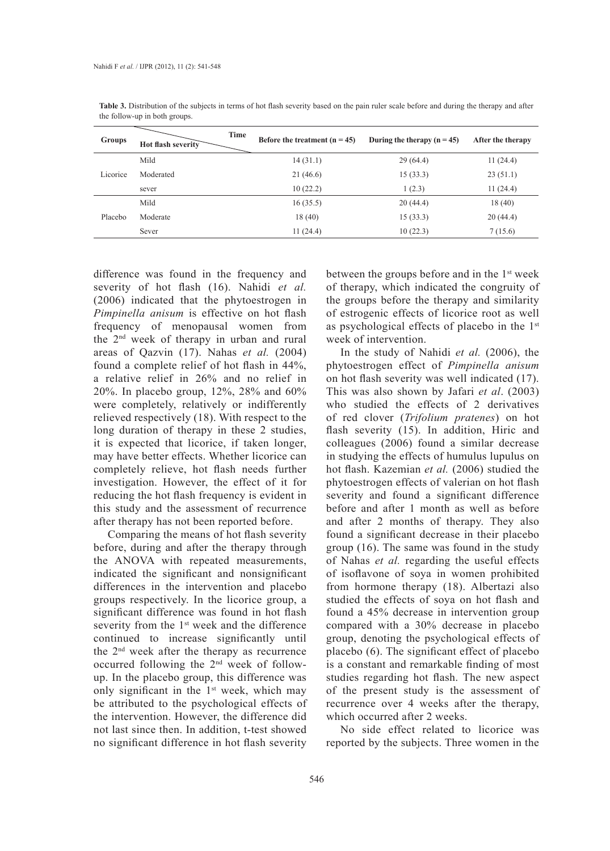| <b>Groups</b> | Time<br>Hot flash severity | Before the treatment $(n = 45)$ | During the therapy $(n = 45)$ | After the therapy |
|---------------|----------------------------|---------------------------------|-------------------------------|-------------------|
| Licorice      | Mild                       | 14(31.1)                        | 29(64.4)                      | 11(24.4)          |
|               | Moderated                  | 21(46.6)                        | 15(33.3)                      | 23(51.1)          |
|               | sever                      | 10(22.2)                        | 1(2.3)                        | 11(24.4)          |
| Placebo       | Mild                       | 16(35.5)                        | 20(44.4)                      | 18(40)            |
|               | Moderate                   | 18(40)                          | 15(33.3)                      | 20(44.4)          |
|               | Sever                      | 11(24.4)                        | 10(22.3)                      | 7(15.6)           |

**Table 3.** Distribution of the subjects in terms of hot flash severity based on the pain ruler scale before and during the therapy and after the follow-up in both groups.

difference was found in the frequency and severity of hot flash (16). Nahidi *et al.* (2006) indicated that the phytoestrogen in *Pimpinella anisum* is effective on hot flash frequency of menopausal women from the 2nd week of therapy in urban and rural areas of Qazvin (17). Nahas *et al.* (2004) found a complete relief of hot flash in 44%, a relative relief in 26% and no relief in 20%. In placebo group, 12%, 28% and 60% were completely, relatively or indifferently relieved respectively (18). With respect to the long duration of therapy in these 2 studies, it is expected that licorice, if taken longer, may have better effects. Whether licorice can completely relieve, hot flash needs further investigation. However, the effect of it for reducing the hot flash frequency is evident in this study and the assessment of recurrence after therapy has not been reported before.

Comparing the means of hot flash severity before, during and after the therapy through the ANOVA with repeated measurements, indicated the significant and nonsignificant differences in the intervention and placebo groups respectively. In the licorice group, a significant difference was found in hot flash severity from the 1<sup>st</sup> week and the difference continued to increase significantly until the 2nd week after the therapy as recurrence occurred following the 2nd week of followup. In the placebo group, this difference was only significant in the  $1<sup>st</sup>$  week, which may be attributed to the psychological effects of the intervention. However, the difference did not last since then. In addition, t-test showed no significant difference in hot flash severity

between the groups before and in the 1st week of therapy, which indicated the congruity of the groups before the therapy and similarity of estrogenic effects of licorice root as well as psychological effects of placebo in the 1st week of intervention.

In the study of Nahidi *et al.* (2006), the phytoestrogen effect of *Pimpinella anisum* on hot flash severity was well indicated (17). This was also shown by Jafari *et al*. (2003) who studied the effects of 2 derivatives of red clover (*Trifolium pratenes*) on hot flash severity (15). In addition, Hiric and colleagues (2006) found a similar decrease in studying the effects of humulus lupulus on hot flash. Kazemian *et al.* (2006) studied the phytoestrogen effects of valerian on hot flash severity and found a significant difference before and after 1 month as well as before and after 2 months of therapy. They also found a significant decrease in their placebo group (16). The same was found in the study of Nahas *et al.* regarding the useful effects of isoflavone of soya in women prohibited from hormone therapy (18). Albertazi also studied the effects of soya on hot flash and found a 45% decrease in intervention group compared with a 30% decrease in placebo group, denoting the psychological effects of placebo (6). The significant effect of placebo is a constant and remarkable finding of most studies regarding hot flash. The new aspect of the present study is the assessment of recurrence over 4 weeks after the therapy, which occurred after 2 weeks.

No side effect related to licorice was reported by the subjects. Three women in the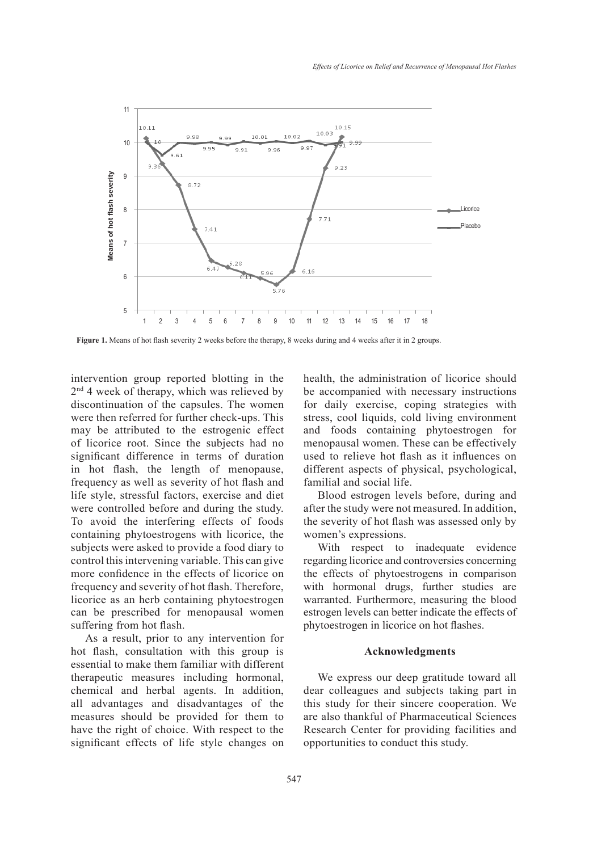

**Figure 1.** Means of hot flash severity 2 weeks before the therapy, 8 weeks during and 4 weeks after it in 2 groups.

intervention group reported blotting in the  $2<sup>nd</sup>$  4 week of therapy, which was relieved by discontinuation of the capsules. The women were then referred for further check-ups. This may be attributed to the estrogenic effect of licorice root. Since the subjects had no significant difference in terms of duration in hot flash, the length of menopause, frequency as well as severity of hot flash and life style, stressful factors, exercise and diet were controlled before and during the study. To avoid the interfering effects of foods containing phytoestrogens with licorice, the subjects were asked to provide a food diary to control this intervening variable. This can give more confidence in the effects of licorice on frequency and severity of hot flash. Therefore, licorice as an herb containing phytoestrogen can be prescribed for menopausal women suffering from hot flash.

As a result, prior to any intervention for hot flash, consultation with this group is essential to make them familiar with different therapeutic measures including hormonal, chemical and herbal agents. In addition, all advantages and disadvantages of the measures should be provided for them to have the right of choice. With respect to the significant effects of life style changes on health, the administration of licorice should be accompanied with necessary instructions for daily exercise, coping strategies with stress, cool liquids, cold living environment and foods containing phytoestrogen for menopausal women. These can be effectively used to relieve hot flash as it influences on different aspects of physical, psychological, familial and social life.

Blood estrogen levels before, during and after the study were not measured. In addition, the severity of hot flash was assessed only by women's expressions.

With respect to inadequate evidence regarding licorice and controversies concerning the effects of phytoestrogens in comparison with hormonal drugs, further studies are warranted. Furthermore, measuring the blood estrogen levels can better indicate the effects of phytoestrogen in licorice on hot flashes.

### **Acknowledgments**

We express our deep gratitude toward all dear colleagues and subjects taking part in this study for their sincere cooperation. We are also thankful of Pharmaceutical Sciences Research Center for providing facilities and opportunities to conduct this study.